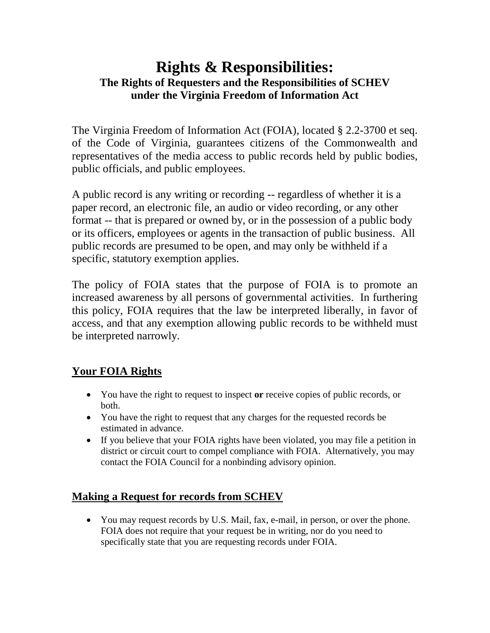# **Rights & Responsibilities: The Rights of Requesters and the Responsibilities of SCHEV under the Virginia Freedom of Information Act**

The Virginia Freedom of Information Act (FOIA), located § 2.2-3700 et seq. of the Code of Virginia, guarantees citizens of the Commonwealth and representatives of the media access to public records held by public bodies, public officials, and public employees.

A public record is any writing or recording -- regardless of whether it is a paper record, an electronic file, an audio or video recording, or any other format -- that is prepared or owned by, or in the possession of a public body or its officers, employees or agents in the transaction of public business. All public records are presumed to be open, and may only be withheld if a specific, statutory exemption applies.

The policy of FOIA states that the purpose of FOIA is to promote an increased awareness by all persons of governmental activities. In furthering this policy, FOIA requires that the law be interpreted liberally, in favor of access, and that any exemption allowing public records to be withheld must be interpreted narrowly.

## **Your FOIA Rights**

- You have the right to request to inspect **or** receive copies of public records, or both.
- You have the right to request that any charges for the requested records be estimated in advance.
- If you believe that your FOIA rights have been violated, you may file a petition in district or circuit court to compel compliance with FOIA. Alternatively, you may contact the FOIA Council for a nonbinding advisory opinion.

## **Making a Request for records from SCHEV**

• You may request records by U.S. Mail, fax, e-mail, in person, or over the phone. FOIA does not require that your request be in writing, nor do you need to specifically state that you are requesting records under FOIA.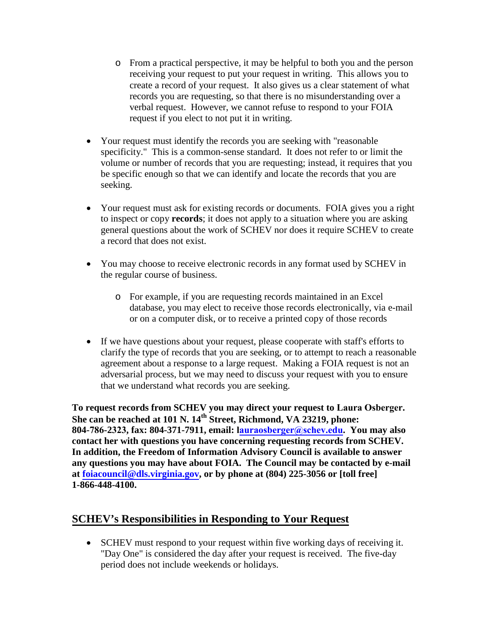- o From a practical perspective, it may be helpful to both you and the person receiving your request to put your request in writing. This allows you to create a record of your request. It also gives us a clear statement of what records you are requesting, so that there is no misunderstanding over a verbal request. However, we cannot refuse to respond to your FOIA request if you elect to not put it in writing.
- Your request must identify the records you are seeking with "reasonable" specificity." This is a common-sense standard. It does not refer to or limit the volume or number of records that you are requesting; instead, it requires that you be specific enough so that we can identify and locate the records that you are seeking.
- Your request must ask for existing records or documents. FOIA gives you a right to inspect or copy **records**; it does not apply to a situation where you are asking general questions about the work of SCHEV nor does it require SCHEV to create a record that does not exist.
- You may choose to receive electronic records in any format used by SCHEV in the regular course of business.
	- o For example, if you are requesting records maintained in an Excel database, you may elect to receive those records electronically, via e-mail or on a computer disk, or to receive a printed copy of those records
- If we have questions about your request, please cooperate with staff's efforts to clarify the type of records that you are seeking, or to attempt to reach a reasonable agreement about a response to a large request. Making a FOIA request is not an adversarial process, but we may need to discuss your request with you to ensure that we understand what records you are seeking.

**To request records from SCHEV you may direct your request to Laura Osberger. She can be reached at 101 N. 14th Street, Richmond, VA 23219, phone: 804-786-2323, fax: 804-371-7911, email: [lauraosberger@schev.edu.](mailto:lauraosberger@schev.edu) You may also contact her with questions you have concerning requesting records from SCHEV. In addition, the Freedom of Information Advisory Council is available to answer any questions you may have about FOIA. The Council may be contacted by e-mail at [foiacouncil@dls.virginia.gov,](mailto:foiacouncil@dls.virginia.gov) or by phone at (804) 225-3056 or [toll free] 1-866-448-4100.**

#### **SCHEV's Responsibilities in Responding to Your Request**

• SCHEV must respond to your request within five working days of receiving it. "Day One" is considered the day after your request is received. The five-day period does not include weekends or holidays.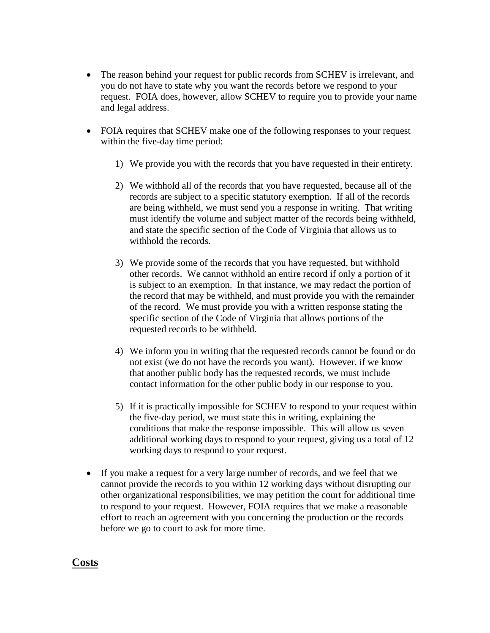- The reason behind your request for public records from SCHEV is irrelevant, and you do not have to state why you want the records before we respond to your request. FOIA does, however, allow SCHEV to require you to provide your name and legal address.
- FOIA requires that SCHEV make one of the following responses to your request within the five-day time period:
	- 1) We provide you with the records that you have requested in their entirety.
	- 2) We withhold all of the records that you have requested, because all of the records are subject to a specific statutory exemption. If all of the records are being withheld, we must send you a response in writing. That writing must identify the volume and subject matter of the records being withheld, and state the specific section of the Code of Virginia that allows us to withhold the records.
	- 3) We provide some of the records that you have requested, but withhold other records. We cannot withhold an entire record if only a portion of it is subject to an exemption. In that instance, we may redact the portion of the record that may be withheld, and must provide you with the remainder of the record. We must provide you with a written response stating the specific section of the Code of Virginia that allows portions of the requested records to be withheld.
	- 4) We inform you in writing that the requested records cannot be found or do not exist (we do not have the records you want). However, if we know that another public body has the requested records, we must include contact information for the other public body in our response to you.
	- 5) If it is practically impossible for SCHEV to respond to your request within the five-day period, we must state this in writing, explaining the conditions that make the response impossible. This will allow us seven additional working days to respond to your request, giving us a total of 12 working days to respond to your request.
- If you make a request for a very large number of records, and we feel that we cannot provide the records to you within 12 working days without disrupting our other organizational responsibilities, we may petition the court for additional time to respond to your request. However, FOIA requires that we make a reasonable effort to reach an agreement with you concerning the production or the records before we go to court to ask for more time.

#### **Costs**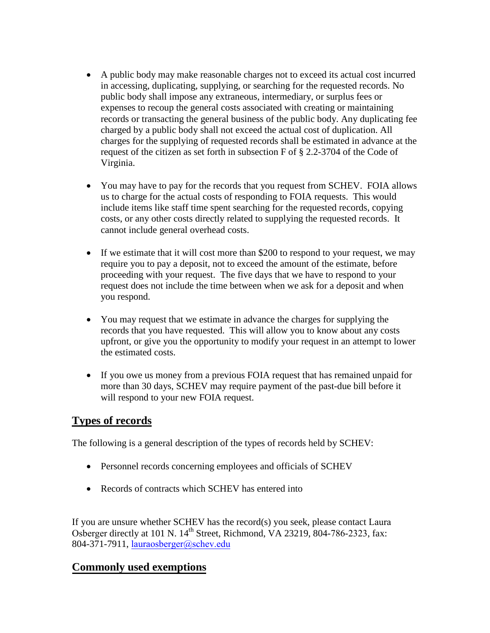- A public body may make reasonable charges not to exceed its actual cost incurred in accessing, duplicating, supplying, or searching for the requested records. No public body shall impose any extraneous, intermediary, or surplus fees or expenses to recoup the general costs associated with creating or maintaining records or transacting the general business of the public body. Any duplicating fee charged by a public body shall not exceed the actual cost of duplication. All charges for the supplying of requested records shall be estimated in advance at the request of the citizen as set forth in subsection F of § 2.2-3704 of the Code of Virginia.
- You may have to pay for the records that you request from SCHEV. FOIA allows us to charge for the actual costs of responding to FOIA requests. This would include items like staff time spent searching for the requested records, copying costs, or any other costs directly related to supplying the requested records. It cannot include general overhead costs.
- If we estimate that it will cost more than \$200 to respond to your request, we may require you to pay a deposit, not to exceed the amount of the estimate, before proceeding with your request. The five days that we have to respond to your request does not include the time between when we ask for a deposit and when you respond.
- You may request that we estimate in advance the charges for supplying the records that you have requested. This will allow you to know about any costs upfront, or give you the opportunity to modify your request in an attempt to lower the estimated costs.
- If you owe us money from a previous FOIA request that has remained unpaid for more than 30 days, SCHEV may require payment of the past-due bill before it will respond to your new FOIA request.

### **Types of records**

The following is a general description of the types of records held by SCHEV:

- Personnel records concerning employees and officials of SCHEV
- Records of contracts which SCHEV has entered into

If you are unsure whether SCHEV has the record(s) you seek, please contact Laura Osberger directly at 101 N.  $14<sup>th</sup>$  Street, Richmond, VA 23219, 804-786-2323, fax: 804-371-7911, [lauraosberger@schev.edu](mailto:lauraosberger@schev.edu)

#### **Commonly used exemptions**